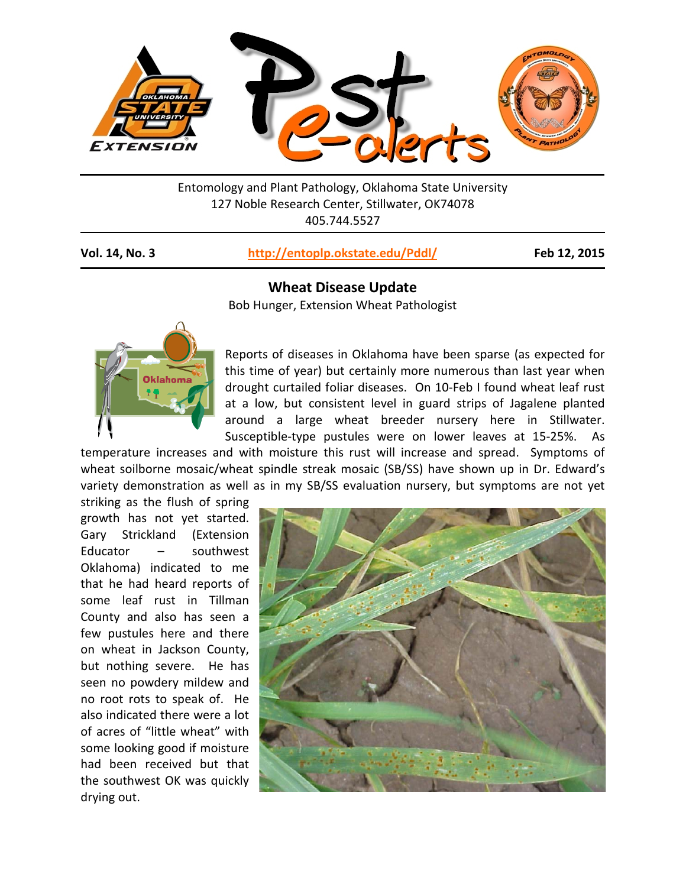

Entomology and Plant Pathology, Oklahoma State University 127 Noble Research Center, Stillwater, OK74078 405.744.5527

## **Vol. 14, No. 3 <http://entoplp.okstate.edu/Pddl/> Feb 12, 2015**



**Wheat Disease Update** 

Bob Hunger, Extension Wheat Pathologist

Reports of diseases in Oklahoma have been sparse (as expected for this time of year) but certainly more numerous than last year when drought curtailed foliar diseases. On 10-Feb I found wheat leaf rust at a low, but consistent level in guard strips of Jagalene planted around a large wheat breeder nursery here in Stillwater. Susceptible-type pustules were on lower leaves at 15-25%. As

temperature increases and with moisture this rust will increase and spread. Symptoms of wheat soilborne mosaic/wheat spindle streak mosaic (SB/SS) have shown up in Dr. Edward's variety demonstration as well as in my SB/SS evaluation nursery, but symptoms are not yet

striking as the flush of spring growth has not yet started. Gary Strickland (Extension Educator – southwest Oklahoma) indicated to me that he had heard reports of some leaf rust in Tillman County and also has seen a few pustules here and there on wheat in Jackson County, but nothing severe. He has seen no powdery mildew and no root rots to speak of. He also indicated there were a lot of acres of "little wheat" with some looking good if moisture had been received but that the southwest OK was quickly drying out.